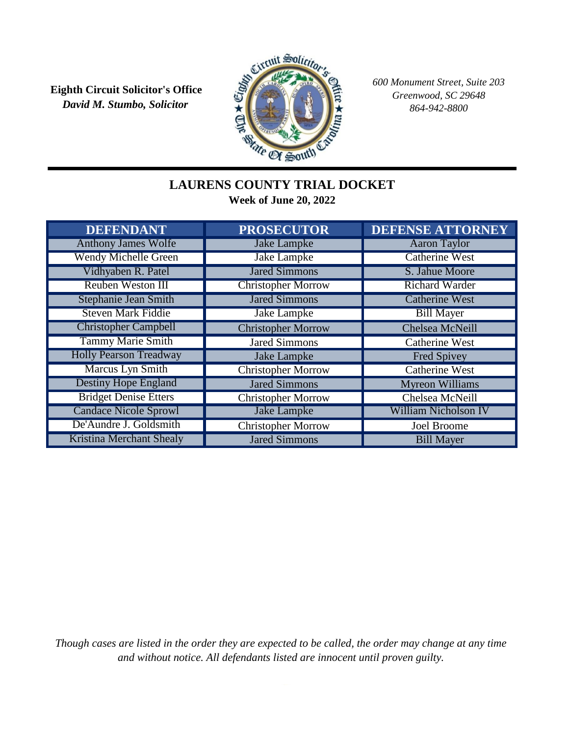*David M. Stumbo, Solicitor* **Eighth Circuit Solicitor's Office**



*600 Monument Street, Suite 203 Greenwood, SC 29648 864-942-8800*

## **LAURENS COUNTY TRIAL DOCKET Week of June 20, 2022**

| <b>DEFENDANT</b>                | <b>PROSECUTOR</b>         | <b>DEFENSE ATTORNEY</b>     |
|---------------------------------|---------------------------|-----------------------------|
| <b>Anthony James Wolfe</b>      | <b>Jake Lampke</b>        | <b>Aaron Taylor</b>         |
| <b>Wendy Michelle Green</b>     | <b>Jake Lampke</b>        | <b>Catherine West</b>       |
| Vidhyaben R. Patel              | <b>Jared Simmons</b>      | S. Jahue Moore              |
| <b>Reuben Weston III</b>        | <b>Christopher Morrow</b> | <b>Richard Warder</b>       |
| <b>Stephanie Jean Smith</b>     | <b>Jared Simmons</b>      | <b>Catherine West</b>       |
| <b>Steven Mark Fiddie</b>       | <b>Jake Lampke</b>        | <b>Bill Mayer</b>           |
| <b>Christopher Campbell</b>     | <b>Christopher Morrow</b> | Chelsea McNeill             |
| <b>Tammy Marie Smith</b>        | <b>Jared Simmons</b>      | <b>Catherine West</b>       |
| <b>Holly Pearson Treadway</b>   | Jake Lampke               | Fred Spivey                 |
| <b>Marcus Lyn Smith</b>         | <b>Christopher Morrow</b> | <b>Catherine West</b>       |
| <b>Destiny Hope England</b>     | <b>Jared Simmons</b>      | <b>Myreon Williams</b>      |
| <b>Bridget Denise Etters</b>    | <b>Christopher Morrow</b> | Chelsea McNeill             |
| <b>Candace Nicole Sprowl</b>    | <b>Jake Lampke</b>        | <b>William Nicholson IV</b> |
| De'Aundre J. Goldsmith          | <b>Christopher Morrow</b> | <b>Joel Broome</b>          |
| <b>Kristina Merchant Shealy</b> | <b>Jared Simmons</b>      | <b>Bill Mayer</b>           |

*Though cases are listed in the order they are expected to be called, the order may change at any time and without notice. All defendants listed are innocent until proven guilty.*